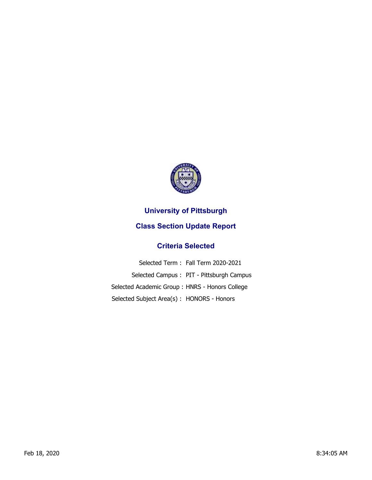

## **University of Pittsburgh**

## **Class Section Update Report**

## **Criteria Selected**

|                                                | Selected Term: Fall Term 2020-2021       |
|------------------------------------------------|------------------------------------------|
|                                                | Selected Campus: PIT - Pittsburgh Campus |
| Selected Academic Group: HNRS - Honors College |                                          |
| Selected Subject Area(s): HONORS - Honors      |                                          |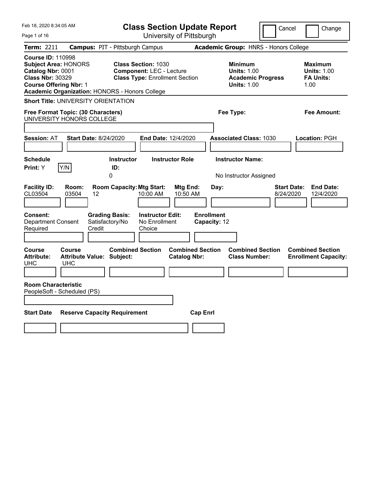| Feb 18, 2020 8:34:05 AM                                                                                                                                                                    | <b>Class Section Update Report</b>                                                                     | Cancel                                                                                 | Change                                                           |
|--------------------------------------------------------------------------------------------------------------------------------------------------------------------------------------------|--------------------------------------------------------------------------------------------------------|----------------------------------------------------------------------------------------|------------------------------------------------------------------|
| Page 1 of 16                                                                                                                                                                               | University of Pittsburgh                                                                               |                                                                                        |                                                                  |
| <b>Term: 2211</b>                                                                                                                                                                          | <b>Campus: PIT - Pittsburgh Campus</b>                                                                 | <b>Academic Group: HNRS - Honors College</b>                                           |                                                                  |
| <b>Course ID: 110998</b><br><b>Subject Area: HONORS</b><br>Catalog Nbr: 0001<br><b>Class Nbr: 30329</b><br><b>Course Offering Nbr: 1</b><br>Academic Organization: HONORS - Honors College | <b>Class Section: 1030</b><br><b>Component: LEC - Lecture</b><br><b>Class Type: Enrollment Section</b> | <b>Minimum</b><br><b>Units: 1.00</b><br><b>Academic Progress</b><br><b>Units: 1.00</b> | <b>Maximum</b><br><b>Units: 1.00</b><br><b>FA Units:</b><br>1.00 |
| <b>Short Title: UNIVERSITY ORIENTATION</b>                                                                                                                                                 |                                                                                                        |                                                                                        |                                                                  |
| Free Format Topic: (30 Characters)<br>UNIVERSITY HONORS COLLEGE                                                                                                                            |                                                                                                        | Fee Type:                                                                              | Fee Amount:                                                      |
| <b>Session: AT</b><br><b>Start Date: 8/24/2020</b>                                                                                                                                         | <b>End Date: 12/4/2020</b>                                                                             | <b>Associated Class: 1030</b>                                                          | Location: PGH                                                    |
| <b>Schedule</b><br>Print: Y<br>Y/N                                                                                                                                                         | <b>Instructor</b><br><b>Instructor Role</b><br>ID:                                                     | <b>Instructor Name:</b>                                                                |                                                                  |
| 0                                                                                                                                                                                          |                                                                                                        | No Instructor Assigned                                                                 |                                                                  |
| <b>Facility ID:</b><br>Room:<br>CL03504<br>03504<br>12                                                                                                                                     | <b>Room Capacity: Mtg Start:</b><br>Mtg End:<br>10:00 AM<br>10:50 AM                                   | Day:<br>8/24/2020                                                                      | <b>End Date:</b><br><b>Start Date:</b><br>12/4/2020              |
| <b>Consent:</b><br><b>Grading Basis:</b><br>Satisfactory/No<br><b>Department Consent</b><br>Credit<br>Required                                                                             | <b>Instructor Edit:</b><br>No Enrollment<br>Choice                                                     | <b>Enrollment</b><br>Capacity: 12                                                      |                                                                  |
| Course<br>Course<br><b>Attribute Value: Subject:</b><br><b>Attribute:</b><br><b>UHC</b><br><b>UHC</b>                                                                                      | <b>Combined Section</b><br><b>Combined Section</b><br><b>Catalog Nbr:</b>                              | <b>Combined Section</b><br><b>Class Number:</b>                                        | <b>Combined Section</b><br><b>Enrollment Capacity:</b>           |
| <b>Room Characteristic</b><br>PeopleSoft - Scheduled (PS)                                                                                                                                  |                                                                                                        |                                                                                        |                                                                  |
| <b>Reserve Capacity Requirement</b><br><b>Start Date</b>                                                                                                                                   | <b>Cap Enrl</b>                                                                                        |                                                                                        |                                                                  |
|                                                                                                                                                                                            |                                                                                                        |                                                                                        |                                                                  |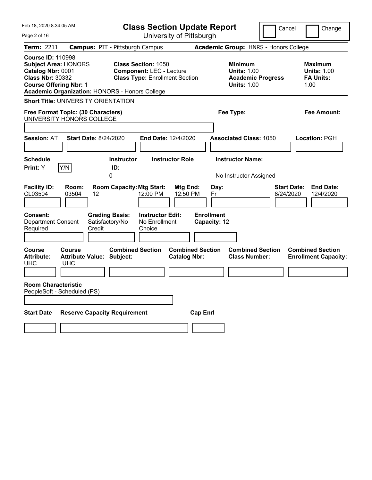| Feb 18, 2020 8:34:05 AM                                                                                                                                                                           | <b>Class Section Update Report</b>                                                                     | Cancel                                                                                 | Change                                                           |
|---------------------------------------------------------------------------------------------------------------------------------------------------------------------------------------------------|--------------------------------------------------------------------------------------------------------|----------------------------------------------------------------------------------------|------------------------------------------------------------------|
| Page 2 of 16                                                                                                                                                                                      | University of Pittsburgh                                                                               |                                                                                        |                                                                  |
| <b>Term: 2211</b>                                                                                                                                                                                 | <b>Campus: PIT - Pittsburgh Campus</b>                                                                 | Academic Group: HNRS - Honors College                                                  |                                                                  |
| <b>Course ID: 110998</b><br><b>Subject Area: HONORS</b><br>Catalog Nbr: 0001<br><b>Class Nbr: 30332</b><br><b>Course Offering Nbr: 1</b><br><b>Academic Organization: HONORS - Honors College</b> | <b>Class Section: 1050</b><br><b>Component: LEC - Lecture</b><br><b>Class Type: Enrollment Section</b> | <b>Minimum</b><br><b>Units: 1.00</b><br><b>Academic Progress</b><br><b>Units: 1.00</b> | <b>Maximum</b><br><b>Units: 1.00</b><br><b>FA Units:</b><br>1.00 |
| <b>Short Title: UNIVERSITY ORIENTATION</b>                                                                                                                                                        |                                                                                                        |                                                                                        |                                                                  |
| Free Format Topic: (30 Characters)<br>UNIVERSITY HONORS COLLEGE                                                                                                                                   |                                                                                                        | Fee Type:                                                                              | Fee Amount:                                                      |
|                                                                                                                                                                                                   |                                                                                                        |                                                                                        |                                                                  |
| <b>Start Date: 8/24/2020</b><br><b>Session: AT</b>                                                                                                                                                | End Date: 12/4/2020                                                                                    | <b>Associated Class: 1050</b>                                                          | Location: PGH                                                    |
|                                                                                                                                                                                                   |                                                                                                        |                                                                                        |                                                                  |
| <b>Schedule</b>                                                                                                                                                                                   | <b>Instructor Role</b><br><b>Instructor</b>                                                            | <b>Instructor Name:</b>                                                                |                                                                  |
| Print: Y<br>Y/N                                                                                                                                                                                   | ID:<br>0                                                                                               | No Instructor Assigned                                                                 |                                                                  |
| <b>Facility ID:</b><br>Room:<br>CL03504<br>03504<br>12                                                                                                                                            | <b>Room Capacity: Mtg Start:</b><br>Mtg End:<br>12:00 PM<br>12:50 PM                                   | Day:<br>Fr                                                                             | <b>Start Date:</b><br><b>End Date:</b><br>8/24/2020<br>12/4/2020 |
| Consent:<br><b>Grading Basis:</b><br>Satisfactory/No<br><b>Department Consent</b><br>Required<br>Credit                                                                                           | <b>Instructor Edit:</b><br>No Enrollment<br>Choice                                                     | <b>Enrollment</b><br>Capacity: 12                                                      |                                                                  |
| Course<br>Course<br><b>Attribute Value: Subject:</b><br><b>Attribute:</b><br><b>UHC</b><br><b>UHC</b>                                                                                             | <b>Combined Section</b><br><b>Combined Section</b><br><b>Catalog Nbr:</b>                              | <b>Combined Section</b><br><b>Class Number:</b>                                        | <b>Combined Section</b><br><b>Enrollment Capacity:</b>           |
|                                                                                                                                                                                                   |                                                                                                        |                                                                                        |                                                                  |
| <b>Room Characteristic</b><br>PeopleSoft - Scheduled (PS)                                                                                                                                         |                                                                                                        |                                                                                        |                                                                  |
|                                                                                                                                                                                                   |                                                                                                        |                                                                                        |                                                                  |
| <b>Start Date</b><br><b>Reserve Capacity Requirement</b>                                                                                                                                          | <b>Cap Enrl</b>                                                                                        |                                                                                        |                                                                  |
|                                                                                                                                                                                                   |                                                                                                        |                                                                                        |                                                                  |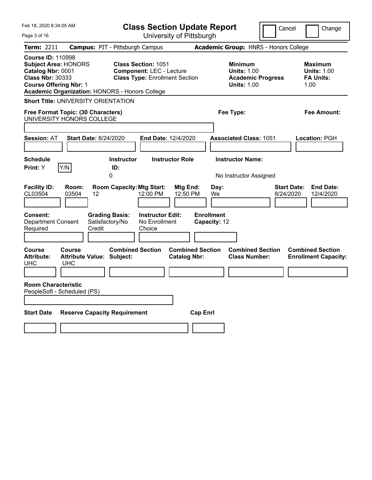| Feb 18, 2020 8:34:05 AM                                                                                                                                                                           | <b>Class Section Update Report</b>                                                                     | Cancel                                                                                 | Change                                                           |
|---------------------------------------------------------------------------------------------------------------------------------------------------------------------------------------------------|--------------------------------------------------------------------------------------------------------|----------------------------------------------------------------------------------------|------------------------------------------------------------------|
| Page 3 of 16                                                                                                                                                                                      | University of Pittsburgh                                                                               |                                                                                        |                                                                  |
| <b>Term: 2211</b>                                                                                                                                                                                 | <b>Campus: PIT - Pittsburgh Campus</b>                                                                 | Academic Group: HNRS - Honors College                                                  |                                                                  |
| <b>Course ID: 110998</b><br><b>Subject Area: HONORS</b><br>Catalog Nbr: 0001<br><b>Class Nbr: 30333</b><br><b>Course Offering Nbr: 1</b><br><b>Academic Organization: HONORS - Honors College</b> | <b>Class Section: 1051</b><br><b>Component: LEC - Lecture</b><br><b>Class Type: Enrollment Section</b> | <b>Minimum</b><br><b>Units: 1.00</b><br><b>Academic Progress</b><br><b>Units: 1.00</b> | <b>Maximum</b><br><b>Units: 1.00</b><br><b>FA Units:</b><br>1.00 |
| <b>Short Title: UNIVERSITY ORIENTATION</b>                                                                                                                                                        |                                                                                                        |                                                                                        |                                                                  |
| Free Format Topic: (30 Characters)<br>UNIVERSITY HONORS COLLEGE                                                                                                                                   |                                                                                                        | Fee Type:                                                                              | Fee Amount:                                                      |
| <b>Start Date: 8/24/2020</b><br><b>Session: AT</b>                                                                                                                                                | <b>End Date: 12/4/2020</b>                                                                             | <b>Associated Class: 1051</b>                                                          | Location: PGH                                                    |
| <b>Schedule</b><br>Print: Y<br>Y/N                                                                                                                                                                | <b>Instructor</b><br><b>Instructor Role</b><br>ID:                                                     | <b>Instructor Name:</b>                                                                |                                                                  |
| <b>Facility ID:</b><br>Room:<br>CL03504<br>03504<br>12                                                                                                                                            | 0<br><b>Room Capacity: Mtg Start:</b><br>Mtg End:<br>12:00 PM<br>12:50 PM                              | No Instructor Assigned<br>Day:<br>We                                                   | <b>Start Date:</b><br><b>End Date:</b><br>8/24/2020<br>12/4/2020 |
| Consent:<br><b>Grading Basis:</b><br>Satisfactory/No<br><b>Department Consent</b><br>Credit<br>Required                                                                                           | <b>Instructor Edit:</b><br>No Enrollment<br>Choice                                                     | <b>Enrollment</b><br>Capacity: 12                                                      |                                                                  |
| Course<br>Course<br><b>Attribute Value: Subject:</b><br><b>Attribute:</b><br><b>UHC</b><br><b>UHC</b>                                                                                             | <b>Combined Section</b><br><b>Combined Section</b><br><b>Catalog Nbr:</b>                              | <b>Combined Section</b><br><b>Class Number:</b>                                        | <b>Combined Section</b><br><b>Enrollment Capacity:</b>           |
| <b>Room Characteristic</b><br>PeopleSoft - Scheduled (PS)                                                                                                                                         |                                                                                                        |                                                                                        |                                                                  |
| <b>Reserve Capacity Requirement</b><br><b>Start Date</b>                                                                                                                                          | <b>Cap Enrl</b>                                                                                        |                                                                                        |                                                                  |
|                                                                                                                                                                                                   |                                                                                                        |                                                                                        |                                                                  |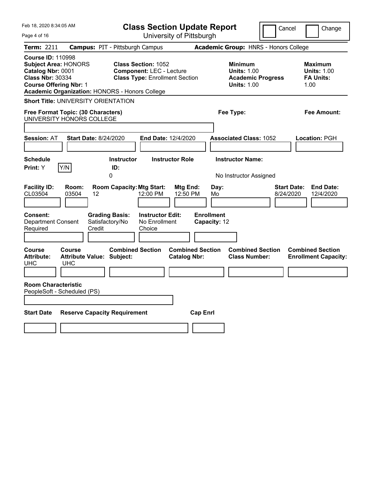| Feb 18, 2020 8:34:05 AM                                                                                                                                                                           | <b>Class Section Update Report</b>                                                                     |                                                                                        | Cancel<br>Change                                                 |
|---------------------------------------------------------------------------------------------------------------------------------------------------------------------------------------------------|--------------------------------------------------------------------------------------------------------|----------------------------------------------------------------------------------------|------------------------------------------------------------------|
| Page 4 of 16                                                                                                                                                                                      | University of Pittsburgh                                                                               |                                                                                        |                                                                  |
| Term: 2211                                                                                                                                                                                        | <b>Campus: PIT - Pittsburgh Campus</b>                                                                 | Academic Group: HNRS - Honors College                                                  |                                                                  |
| <b>Course ID: 110998</b><br><b>Subject Area: HONORS</b><br>Catalog Nbr: 0001<br><b>Class Nbr: 30334</b><br><b>Course Offering Nbr: 1</b><br><b>Academic Organization: HONORS - Honors College</b> | <b>Class Section: 1052</b><br><b>Component: LEC - Lecture</b><br><b>Class Type: Enrollment Section</b> | <b>Minimum</b><br><b>Units: 1.00</b><br><b>Academic Progress</b><br><b>Units: 1.00</b> | <b>Maximum</b><br><b>Units: 1.00</b><br><b>FA Units:</b><br>1.00 |
| <b>Short Title: UNIVERSITY ORIENTATION</b>                                                                                                                                                        |                                                                                                        |                                                                                        |                                                                  |
| Free Format Topic: (30 Characters)<br>UNIVERSITY HONORS COLLEGE                                                                                                                                   |                                                                                                        | Fee Type:                                                                              | Fee Amount:                                                      |
| <b>Session: AT</b><br><b>Start Date: 8/24/2020</b>                                                                                                                                                | End Date: 12/4/2020                                                                                    | <b>Associated Class: 1052</b>                                                          | Location: PGH                                                    |
| <b>Schedule</b><br>Print: Y<br>Y/N                                                                                                                                                                | <b>Instructor Role</b><br><b>Instructor</b><br>ID:                                                     | <b>Instructor Name:</b>                                                                |                                                                  |
| <b>Facility ID:</b><br>Room:<br>CL03504<br>03504<br>12<br>Consent:<br><b>Grading Basis:</b>                                                                                                       | 0<br><b>Room Capacity: Mtg Start:</b><br>Mtg End:<br>12:00 PM<br>12:50 PM<br><b>Instructor Edit:</b>   | No Instructor Assigned<br>Day:<br>Mo<br><b>Enrollment</b>                              | <b>Start Date:</b><br><b>End Date:</b><br>8/24/2020<br>12/4/2020 |
| Satisfactory/No<br><b>Department Consent</b><br>Required<br>Credit                                                                                                                                | No Enrollment<br>Choice                                                                                | Capacity: 12                                                                           |                                                                  |
| <b>Course</b><br>Course<br><b>Attribute:</b><br><b>Attribute Value: Subject:</b><br><b>UHC</b><br><b>UHC</b>                                                                                      | <b>Combined Section</b><br><b>Combined Section</b><br><b>Catalog Nbr:</b>                              | <b>Combined Section</b><br><b>Class Number:</b>                                        | <b>Combined Section</b><br><b>Enrollment Capacity:</b>           |
|                                                                                                                                                                                                   |                                                                                                        |                                                                                        |                                                                  |
| <b>Room Characteristic</b><br>PeopleSoft - Scheduled (PS)                                                                                                                                         |                                                                                                        |                                                                                        |                                                                  |
| <b>Start Date</b><br><b>Reserve Capacity Requirement</b>                                                                                                                                          | <b>Cap Enrl</b>                                                                                        |                                                                                        |                                                                  |
|                                                                                                                                                                                                   |                                                                                                        |                                                                                        |                                                                  |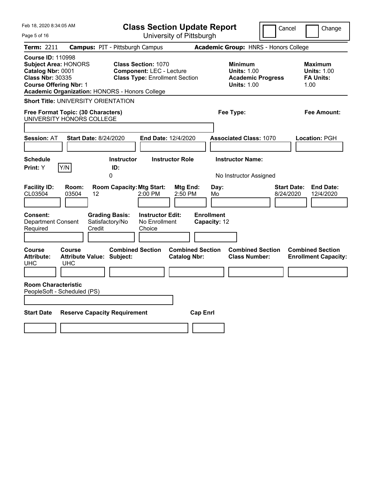| Feb 18, 2020 8:34:05 AM                                                                                                                                                                           | <b>Class Section Update Report</b>                                                                     | Cancel                                                                                 | Change                                                           |
|---------------------------------------------------------------------------------------------------------------------------------------------------------------------------------------------------|--------------------------------------------------------------------------------------------------------|----------------------------------------------------------------------------------------|------------------------------------------------------------------|
| Page 5 of 16                                                                                                                                                                                      | University of Pittsburgh                                                                               |                                                                                        |                                                                  |
| Term: 2211                                                                                                                                                                                        | <b>Campus: PIT - Pittsburgh Campus</b>                                                                 | Academic Group: HNRS - Honors College                                                  |                                                                  |
| <b>Course ID: 110998</b><br><b>Subject Area: HONORS</b><br>Catalog Nbr: 0001<br><b>Class Nbr: 30335</b><br><b>Course Offering Nbr: 1</b><br><b>Academic Organization: HONORS - Honors College</b> | <b>Class Section: 1070</b><br><b>Component: LEC - Lecture</b><br><b>Class Type: Enrollment Section</b> | <b>Minimum</b><br><b>Units: 1.00</b><br><b>Academic Progress</b><br><b>Units: 1.00</b> | <b>Maximum</b><br><b>Units: 1.00</b><br><b>FA Units:</b><br>1.00 |
| <b>Short Title: UNIVERSITY ORIENTATION</b>                                                                                                                                                        |                                                                                                        |                                                                                        |                                                                  |
| Free Format Topic: (30 Characters)<br>UNIVERSITY HONORS COLLEGE                                                                                                                                   |                                                                                                        | Fee Type:                                                                              | Fee Amount:                                                      |
| <b>Session: AT</b><br><b>Start Date: 8/24/2020</b>                                                                                                                                                | End Date: 12/4/2020                                                                                    | <b>Associated Class: 1070</b>                                                          | Location: PGH                                                    |
| <b>Schedule</b><br>Print: Y<br>Y/N                                                                                                                                                                | <b>Instructor Role</b><br><b>Instructor</b><br>ID:                                                     | <b>Instructor Name:</b>                                                                |                                                                  |
| <b>Facility ID:</b><br>Room:<br>CL03504<br>03504<br>12<br>Consent:<br><b>Grading Basis:</b>                                                                                                       | 0<br><b>Room Capacity: Mtg Start:</b><br>Mtg End:<br>2:00 PM<br>2:50 PM<br><b>Instructor Edit:</b>     | No Instructor Assigned<br>Day:<br>8/24/2020<br>Mo<br><b>Enrollment</b>                 | <b>Start Date:</b><br><b>End Date:</b><br>12/4/2020              |
| Satisfactory/No<br><b>Department Consent</b><br>Required<br>Credit                                                                                                                                | No Enrollment<br>Choice                                                                                | Capacity: 12                                                                           |                                                                  |
| <b>Course</b><br>Course<br><b>Attribute:</b><br><b>Attribute Value: Subject:</b><br><b>UHC</b><br><b>UHC</b>                                                                                      | <b>Combined Section</b><br><b>Combined Section</b><br><b>Catalog Nbr:</b>                              | <b>Combined Section</b><br><b>Class Number:</b>                                        | <b>Combined Section</b><br><b>Enrollment Capacity:</b>           |
|                                                                                                                                                                                                   |                                                                                                        |                                                                                        |                                                                  |
| <b>Room Characteristic</b><br>PeopleSoft - Scheduled (PS)                                                                                                                                         |                                                                                                        |                                                                                        |                                                                  |
| <b>Start Date</b><br><b>Reserve Capacity Requirement</b>                                                                                                                                          | <b>Cap Enrl</b>                                                                                        |                                                                                        |                                                                  |
|                                                                                                                                                                                                   |                                                                                                        |                                                                                        |                                                                  |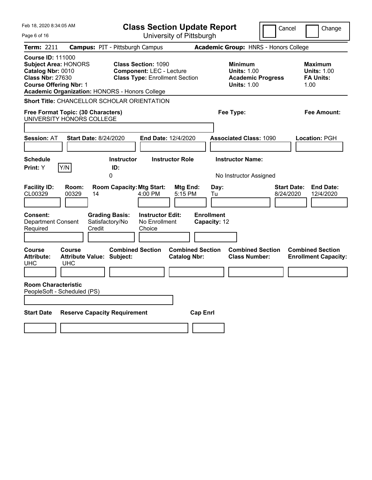| Feb 18, 2020 8:34:05 AM                                                                                                                                                                           | <b>Class Section Update Report</b>                                                                     | Cancel                                                                                 | Change                                                           |
|---------------------------------------------------------------------------------------------------------------------------------------------------------------------------------------------------|--------------------------------------------------------------------------------------------------------|----------------------------------------------------------------------------------------|------------------------------------------------------------------|
| Page 6 of 16                                                                                                                                                                                      | University of Pittsburgh                                                                               |                                                                                        |                                                                  |
| <b>Term: 2211</b>                                                                                                                                                                                 | <b>Campus: PIT - Pittsburgh Campus</b>                                                                 | Academic Group: HNRS - Honors College                                                  |                                                                  |
| <b>Course ID: 111000</b><br><b>Subject Area: HONORS</b><br>Catalog Nbr: 0010<br><b>Class Nbr: 27630</b><br><b>Course Offering Nbr: 1</b><br><b>Academic Organization: HONORS - Honors College</b> | <b>Class Section: 1090</b><br><b>Component: LEC - Lecture</b><br><b>Class Type: Enrollment Section</b> | <b>Minimum</b><br><b>Units: 1.00</b><br><b>Academic Progress</b><br><b>Units: 1.00</b> | <b>Maximum</b><br><b>Units: 1.00</b><br><b>FA Units:</b><br>1.00 |
| <b>Short Title: CHANCELLOR SCHOLAR ORIENTATION</b>                                                                                                                                                |                                                                                                        |                                                                                        |                                                                  |
| Free Format Topic: (30 Characters)<br>UNIVERSITY HONORS COLLEGE                                                                                                                                   |                                                                                                        | Fee Type:                                                                              | Fee Amount:                                                      |
| <b>Session: AT</b><br><b>Start Date: 8/24/2020</b>                                                                                                                                                | End Date: 12/4/2020                                                                                    | <b>Associated Class: 1090</b>                                                          | Location: PGH                                                    |
| <b>Schedule</b><br>Y/N<br>Print: Y                                                                                                                                                                | <b>Instructor</b><br><b>Instructor Role</b><br>ID:                                                     | <b>Instructor Name:</b>                                                                |                                                                  |
|                                                                                                                                                                                                   | 0                                                                                                      | No Instructor Assigned                                                                 |                                                                  |
| <b>Facility ID:</b><br>Room:<br>00329<br>CL00329<br>14                                                                                                                                            | <b>Room Capacity: Mtg Start:</b><br><b>Mtg End:</b><br>4:00 PM<br>5:15 PM                              | Day:<br>8/24/2020<br>Tu                                                                | <b>Start Date:</b><br><b>End Date:</b><br>12/4/2020              |
| <b>Consent:</b><br><b>Grading Basis:</b><br><b>Department Consent</b><br>Satisfactory/No<br>Required<br>Credit                                                                                    | <b>Instructor Edit:</b><br>No Enrollment<br>Choice                                                     | <b>Enrollment</b><br>Capacity: 12                                                      |                                                                  |
| <b>Course</b><br>Course<br><b>Attribute Value: Subject:</b><br><b>Attribute:</b><br><b>UHC</b><br><b>UHC</b>                                                                                      | <b>Combined Section</b><br><b>Combined Section</b><br><b>Catalog Nbr:</b>                              | <b>Combined Section</b><br><b>Class Number:</b>                                        | <b>Combined Section</b><br><b>Enrollment Capacity:</b>           |
| <b>Room Characteristic</b><br>PeopleSoft - Scheduled (PS)                                                                                                                                         |                                                                                                        |                                                                                        |                                                                  |
| <b>Reserve Capacity Requirement</b><br><b>Start Date</b>                                                                                                                                          | <b>Cap Enrl</b>                                                                                        |                                                                                        |                                                                  |
|                                                                                                                                                                                                   |                                                                                                        |                                                                                        |                                                                  |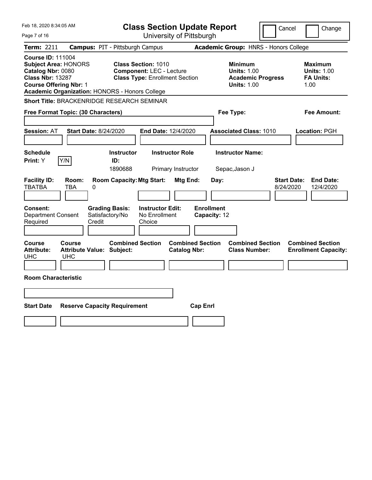| Feb 18, 2020 8:34:05 AM                                                                                                                                                                    | <b>Class Section Update Report</b>                                                                     | Cancel                                                                                 | Change                                                           |
|--------------------------------------------------------------------------------------------------------------------------------------------------------------------------------------------|--------------------------------------------------------------------------------------------------------|----------------------------------------------------------------------------------------|------------------------------------------------------------------|
| Page 7 of 16                                                                                                                                                                               | University of Pittsburgh                                                                               |                                                                                        |                                                                  |
| Term: 2211                                                                                                                                                                                 | <b>Campus: PIT - Pittsburgh Campus</b>                                                                 | Academic Group: HNRS - Honors College                                                  |                                                                  |
| <b>Course ID: 111004</b><br><b>Subject Area: HONORS</b><br>Catalog Nbr: 0080<br><b>Class Nbr: 13287</b><br><b>Course Offering Nbr: 1</b><br>Academic Organization: HONORS - Honors College | <b>Class Section: 1010</b><br><b>Component: LEC - Lecture</b><br><b>Class Type: Enrollment Section</b> | <b>Minimum</b><br><b>Units: 1.00</b><br><b>Academic Progress</b><br><b>Units: 1.00</b> | <b>Maximum</b><br><b>Units: 1.00</b><br><b>FA Units:</b><br>1.00 |
| <b>Short Title: BRACKENRIDGE RESEARCH SEMINAR</b>                                                                                                                                          |                                                                                                        |                                                                                        |                                                                  |
| Free Format Topic: (30 Characters)                                                                                                                                                         |                                                                                                        | Fee Type:                                                                              | Fee Amount:                                                      |
| Session: AT<br><b>Start Date: 8/24/2020</b>                                                                                                                                                | End Date: 12/4/2020                                                                                    | <b>Associated Class: 1010</b>                                                          | Location: PGH                                                    |
| <b>Schedule</b><br>Y/N<br><b>Print:</b> Y                                                                                                                                                  | <b>Instructor</b><br><b>Instructor Role</b><br>ID:<br>1890688<br>Primary Instructor                    | <b>Instructor Name:</b><br>Sepac, Jason J                                              |                                                                  |
| <b>Facility ID:</b><br>Room:<br><b>TBATBA</b><br>TBA<br>0                                                                                                                                  | <b>Room Capacity: Mtg Start:</b><br>Mtg End:                                                           | <b>Start Date:</b><br>Day:<br>8/24/2020                                                | <b>End Date:</b><br>12/4/2020                                    |
| Consent:<br><b>Grading Basis:</b><br>Satisfactory/No<br><b>Department Consent</b><br>Required<br>Credit                                                                                    | <b>Instructor Edit:</b><br>No Enrollment<br>Choice                                                     | <b>Enrollment</b><br>Capacity: 12                                                      |                                                                  |
| <b>Course</b><br>Course<br><b>Attribute:</b><br><b>Attribute Value: Subject:</b><br><b>UHC</b><br><b>UHC</b>                                                                               | <b>Combined Section</b><br><b>Combined Section</b><br><b>Catalog Nbr:</b>                              | <b>Combined Section</b><br><b>Class Number:</b>                                        | <b>Combined Section</b><br><b>Enrollment Capacity:</b>           |
| <b>Room Characteristic</b>                                                                                                                                                                 |                                                                                                        |                                                                                        |                                                                  |
|                                                                                                                                                                                            |                                                                                                        |                                                                                        |                                                                  |
| <b>Start Date</b><br><b>Reserve Capacity Requirement</b>                                                                                                                                   | <b>Cap Enrl</b>                                                                                        |                                                                                        |                                                                  |
|                                                                                                                                                                                            |                                                                                                        |                                                                                        |                                                                  |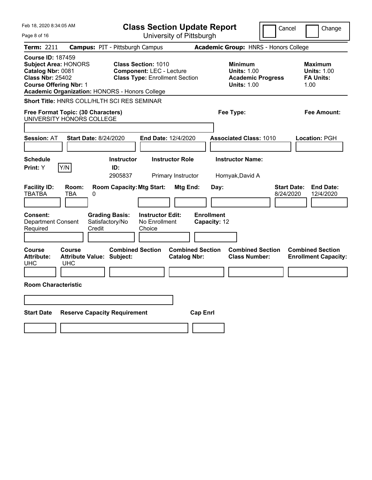| Feb 18, 2020 8:34:05 AM                                                                                                                                                                    | <b>Class Section Update Report</b>                                                                     | Cancel                                                                                 | Change                                                           |
|--------------------------------------------------------------------------------------------------------------------------------------------------------------------------------------------|--------------------------------------------------------------------------------------------------------|----------------------------------------------------------------------------------------|------------------------------------------------------------------|
| Page 8 of 16                                                                                                                                                                               | University of Pittsburgh                                                                               |                                                                                        |                                                                  |
| <b>Term: 2211</b>                                                                                                                                                                          | <b>Campus: PIT - Pittsburgh Campus</b>                                                                 | Academic Group: HNRS - Honors College                                                  |                                                                  |
| <b>Course ID: 187459</b><br><b>Subject Area: HONORS</b><br>Catalog Nbr: 0081<br><b>Class Nbr: 25402</b><br><b>Course Offering Nbr: 1</b><br>Academic Organization: HONORS - Honors College | <b>Class Section: 1010</b><br><b>Component: LEC - Lecture</b><br><b>Class Type: Enrollment Section</b> | <b>Minimum</b><br><b>Units: 1.00</b><br><b>Academic Progress</b><br><b>Units: 1.00</b> | <b>Maximum</b><br><b>Units: 1.00</b><br><b>FA Units:</b><br>1.00 |
| Short Title: HNRS COLL/HLTH SCI RES SEMINAR                                                                                                                                                |                                                                                                        |                                                                                        |                                                                  |
| Free Format Topic: (30 Characters)<br>UNIVERSITY HONORS COLLEGE                                                                                                                            |                                                                                                        | Fee Type:                                                                              | Fee Amount:                                                      |
| <b>Start Date: 8/24/2020</b><br><b>Session: AT</b>                                                                                                                                         | End Date: 12/4/2020                                                                                    | <b>Associated Class: 1010</b>                                                          | <b>Location: PGH</b>                                             |
| <b>Schedule</b><br>Y/N<br>Print: Y                                                                                                                                                         | <b>Instructor Role</b><br><b>Instructor</b><br>ID:<br>2905837<br>Primary Instructor                    | <b>Instructor Name:</b><br>Hornyak, David A                                            |                                                                  |
| <b>Facility ID:</b><br>Room:<br><b>TBATBA</b><br>TBA<br>0<br><b>Grading Basis:</b><br>Consent:<br><b>Department Consent</b><br>Satisfactory/No<br>Credit<br>Required                       | <b>Room Capacity: Mtg Start:</b><br>Mtg End:<br><b>Instructor Edit:</b><br>No Enrollment<br>Choice     | <b>Start Date:</b><br>Day:<br>8/24/2020<br><b>Enrollment</b><br>Capacity: 12           | <b>End Date:</b><br>12/4/2020                                    |
| <b>Course</b><br>Course<br><b>Attribute:</b><br><b>Attribute Value: Subject:</b><br><b>UHC</b><br><b>UHC</b><br><b>Room Characteristic</b>                                                 | <b>Combined Section</b><br><b>Combined Section</b><br><b>Catalog Nbr:</b>                              | <b>Combined Section</b><br><b>Class Number:</b>                                        | <b>Combined Section</b><br><b>Enrollment Capacity:</b>           |
|                                                                                                                                                                                            |                                                                                                        |                                                                                        |                                                                  |
| <b>Start Date</b><br><b>Reserve Capacity Requirement</b>                                                                                                                                   | <b>Cap Enrl</b>                                                                                        |                                                                                        |                                                                  |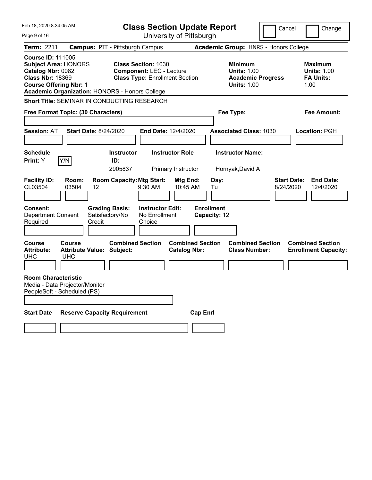| Feb 18, 2020 8:34:05 AM                                                                                                                                                                    | <b>Class Section Update Report</b>                                                                     | Cancel                                                                                 | Change                                                           |
|--------------------------------------------------------------------------------------------------------------------------------------------------------------------------------------------|--------------------------------------------------------------------------------------------------------|----------------------------------------------------------------------------------------|------------------------------------------------------------------|
| Page 9 of 16                                                                                                                                                                               | University of Pittsburgh                                                                               |                                                                                        |                                                                  |
| <b>Term: 2211</b>                                                                                                                                                                          | <b>Campus: PIT - Pittsburgh Campus</b>                                                                 | Academic Group: HNRS - Honors College                                                  |                                                                  |
| <b>Course ID: 111005</b><br><b>Subject Area: HONORS</b><br>Catalog Nbr: 0082<br><b>Class Nbr: 18369</b><br><b>Course Offering Nbr: 1</b><br>Academic Organization: HONORS - Honors College | <b>Class Section: 1030</b><br><b>Component: LEC - Lecture</b><br><b>Class Type: Enrollment Section</b> | <b>Minimum</b><br><b>Units: 1.00</b><br><b>Academic Progress</b><br><b>Units: 1.00</b> | <b>Maximum</b><br><b>Units: 1.00</b><br><b>FA Units:</b><br>1.00 |
| <b>Short Title: SEMINAR IN CONDUCTING RESEARCH</b>                                                                                                                                         |                                                                                                        |                                                                                        |                                                                  |
| Free Format Topic: (30 Characters)                                                                                                                                                         |                                                                                                        | Fee Type:                                                                              | Fee Amount:                                                      |
| <b>Start Date: 8/24/2020</b><br><b>Session: AT</b>                                                                                                                                         | End Date: 12/4/2020                                                                                    | <b>Associated Class: 1030</b>                                                          | <b>Location: PGH</b>                                             |
| <b>Schedule</b><br>Print: Y<br>Y/N                                                                                                                                                         | <b>Instructor Role</b><br><b>Instructor</b><br>ID:<br>2905837<br>Primary Instructor                    | <b>Instructor Name:</b><br>Hornyak, David A                                            |                                                                  |
| <b>Facility ID:</b><br>Room:<br>CL03504<br>03504<br>12                                                                                                                                     | <b>Room Capacity: Mtg Start:</b><br>Mtg End:<br>9:30 AM<br>10:45 AM                                    | Day:<br><b>Start Date:</b><br>8/24/2020<br>Tu                                          | <b>End Date:</b><br>12/4/2020                                    |
| Consent:<br>Department Consent<br>Satisfactory/No<br>Credit<br>Required                                                                                                                    | <b>Grading Basis:</b><br><b>Instructor Edit:</b><br>No Enrollment<br>Choice                            | <b>Enrollment</b><br>Capacity: 12                                                      |                                                                  |
| Course<br><b>Course</b><br><b>Attribute:</b><br><b>Attribute Value: Subject:</b><br>UHC.<br><b>UHC</b>                                                                                     | <b>Combined Section</b><br><b>Combined Section</b><br><b>Catalog Nbr:</b>                              | <b>Combined Section</b><br><b>Class Number:</b>                                        | <b>Combined Section</b><br><b>Enrollment Capacity:</b>           |
| <b>Room Characteristic</b><br>Media - Data Projector/Monitor<br>PeopleSoft - Scheduled (PS)                                                                                                |                                                                                                        |                                                                                        |                                                                  |
| <b>Start Date</b><br><b>Reserve Capacity Requirement</b>                                                                                                                                   | <b>Cap Enri</b>                                                                                        |                                                                                        |                                                                  |
|                                                                                                                                                                                            |                                                                                                        |                                                                                        |                                                                  |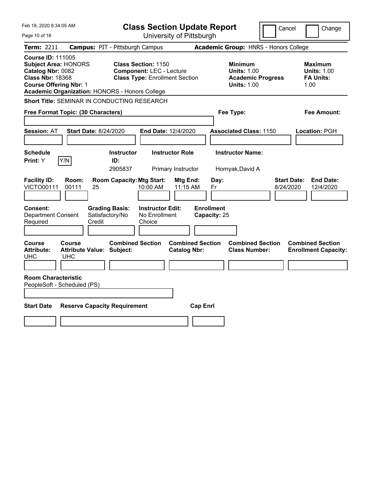| Feb 18, 2020 8:34:05 AM                                                                                                                                                                    | <b>Class Section Update Report</b>                                                                     | Cancel                                                                                 | Change                                                           |
|--------------------------------------------------------------------------------------------------------------------------------------------------------------------------------------------|--------------------------------------------------------------------------------------------------------|----------------------------------------------------------------------------------------|------------------------------------------------------------------|
| Page 10 of 16                                                                                                                                                                              | University of Pittsburgh                                                                               |                                                                                        |                                                                  |
| <b>Term: 2211</b>                                                                                                                                                                          | <b>Campus: PIT - Pittsburgh Campus</b>                                                                 | Academic Group: HNRS - Honors College                                                  |                                                                  |
| <b>Course ID: 111005</b><br><b>Subject Area: HONORS</b><br>Catalog Nbr: 0082<br><b>Class Nbr: 18368</b><br><b>Course Offering Nbr: 1</b><br>Academic Organization: HONORS - Honors College | <b>Class Section: 1150</b><br><b>Component: LEC - Lecture</b><br><b>Class Type: Enrollment Section</b> | <b>Minimum</b><br><b>Units: 1.00</b><br><b>Academic Progress</b><br><b>Units: 1.00</b> | <b>Maximum</b><br><b>Units: 1.00</b><br><b>FA Units:</b><br>1.00 |
| <b>Short Title: SEMINAR IN CONDUCTING RESEARCH</b>                                                                                                                                         |                                                                                                        |                                                                                        |                                                                  |
| Free Format Topic: (30 Characters)                                                                                                                                                         |                                                                                                        | Fee Type:                                                                              | Fee Amount:                                                      |
| <b>Session: AT</b><br><b>Start Date: 8/24/2020</b>                                                                                                                                         | End Date: 12/4/2020                                                                                    | <b>Associated Class: 1150</b>                                                          | Location: PGH                                                    |
| <b>Schedule</b><br>Print: Y<br>Y/N                                                                                                                                                         | <b>Instructor Role</b><br><b>Instructor</b><br>ID:<br>2905837<br>Primary Instructor                    | <b>Instructor Name:</b><br>Hornyak, David A                                            |                                                                  |
| <b>Facility ID:</b><br>Room:<br><b>VICTO00111</b><br>00111<br>25                                                                                                                           | <b>Room Capacity: Mtg Start:</b><br>Mtg End:<br>10:00 AM<br>11:15 AM                                   | <b>Start Date:</b><br>Day:<br>8/24/2020<br>Fr                                          | <b>End Date:</b><br>12/4/2020                                    |
| Consent:<br>Department Consent<br>Satisfactory/No<br>Required<br>Credit                                                                                                                    | <b>Grading Basis:</b><br><b>Instructor Edit:</b><br>No Enrollment<br>Choice                            | <b>Enrollment</b><br>Capacity: 25                                                      |                                                                  |
| <b>Course</b><br>Course<br><b>Attribute:</b><br><b>Attribute Value: Subject:</b><br><b>UHC</b><br><b>UHC</b>                                                                               | <b>Combined Section</b><br><b>Combined Section</b><br><b>Catalog Nbr:</b>                              | <b>Combined Section</b><br><b>Class Number:</b>                                        | <b>Combined Section</b><br><b>Enrollment Capacity:</b>           |
| <b>Room Characteristic</b><br>PeopleSoft - Scheduled (PS)                                                                                                                                  |                                                                                                        |                                                                                        |                                                                  |
| <b>Start Date</b><br><b>Reserve Capacity Requirement</b>                                                                                                                                   | <b>Cap Enrl</b>                                                                                        |                                                                                        |                                                                  |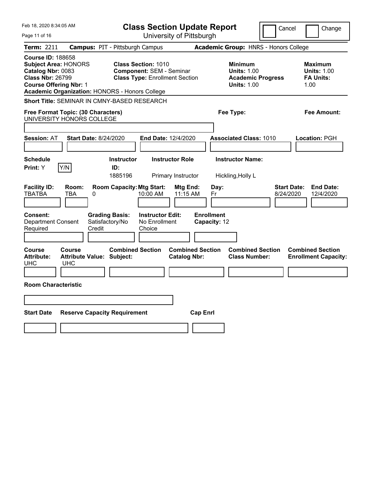| Feb 18, 2020 8:34:05 AM                                                                                                                                                                           | <b>Class Section Update Report</b>                                                                     | Cancel                                                                                 | Change                                                           |
|---------------------------------------------------------------------------------------------------------------------------------------------------------------------------------------------------|--------------------------------------------------------------------------------------------------------|----------------------------------------------------------------------------------------|------------------------------------------------------------------|
| Page 11 of 16                                                                                                                                                                                     | University of Pittsburgh                                                                               |                                                                                        |                                                                  |
| <b>Term: 2211</b>                                                                                                                                                                                 | <b>Campus: PIT - Pittsburgh Campus</b>                                                                 | Academic Group: HNRS - Honors College                                                  |                                                                  |
| <b>Course ID: 188658</b><br><b>Subject Area: HONORS</b><br>Catalog Nbr: 0083<br><b>Class Nbr: 26799</b><br><b>Course Offering Nbr: 1</b><br><b>Academic Organization: HONORS - Honors College</b> | <b>Class Section: 1010</b><br><b>Component: SEM - Seminar</b><br><b>Class Type: Enrollment Section</b> | <b>Minimum</b><br><b>Units: 1.00</b><br><b>Academic Progress</b><br><b>Units: 1.00</b> | <b>Maximum</b><br><b>Units: 1.00</b><br><b>FA Units:</b><br>1.00 |
| <b>Short Title: SEMINAR IN CMNY-BASED RESEARCH</b>                                                                                                                                                |                                                                                                        |                                                                                        |                                                                  |
| Free Format Topic: (30 Characters)<br>UNIVERSITY HONORS COLLEGE                                                                                                                                   |                                                                                                        | Fee Type:                                                                              | Fee Amount:                                                      |
| <b>Session: AT</b><br><b>Start Date: 8/24/2020</b>                                                                                                                                                | End Date: 12/4/2020                                                                                    | <b>Associated Class: 1010</b>                                                          | Location: PGH                                                    |
| <b>Schedule</b><br>Y/N<br>Print: Y                                                                                                                                                                | <b>Instructor Role</b><br><b>Instructor</b><br>ID:<br>1885196<br>Primary Instructor                    | <b>Instructor Name:</b><br>Hickling, Holly L                                           |                                                                  |
| <b>Facility ID:</b><br>Room:<br><b>TBATBA</b><br><b>TBA</b><br>0                                                                                                                                  | <b>Room Capacity: Mtg Start:</b><br>Mtg End:<br>11:15 AM<br>10:00 AM                                   | <b>Start Date:</b><br>Day:<br>8/24/2020<br>Fr                                          | <b>End Date:</b><br>12/4/2020                                    |
| <b>Consent:</b><br><b>Grading Basis:</b><br><b>Department Consent</b><br>Satisfactory/No<br>Required<br>Credit                                                                                    | <b>Instructor Edit:</b><br>No Enrollment<br>Choice                                                     | <b>Enrollment</b><br>Capacity: 12                                                      |                                                                  |
| Course<br>Course<br><b>Attribute Value: Subject:</b><br><b>Attribute:</b><br><b>UHC</b><br><b>UHC</b>                                                                                             | <b>Combined Section</b><br><b>Combined Section</b><br><b>Catalog Nbr:</b>                              | <b>Combined Section</b><br><b>Class Number:</b>                                        | <b>Combined Section</b><br><b>Enrollment Capacity:</b>           |
| <b>Room Characteristic</b>                                                                                                                                                                        |                                                                                                        |                                                                                        |                                                                  |
|                                                                                                                                                                                                   |                                                                                                        |                                                                                        |                                                                  |
| <b>Reserve Capacity Requirement</b><br><b>Start Date</b>                                                                                                                                          | <b>Cap Enrl</b>                                                                                        |                                                                                        |                                                                  |
|                                                                                                                                                                                                   |                                                                                                        |                                                                                        |                                                                  |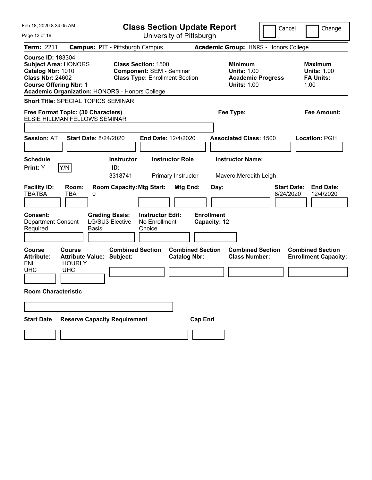| Feb 18, 2020 8:34:05 AM                                                                                                                                                                           | <b>Class Section Update Report</b>                                                                     | Cancel                                                                                 | Change                                                           |
|---------------------------------------------------------------------------------------------------------------------------------------------------------------------------------------------------|--------------------------------------------------------------------------------------------------------|----------------------------------------------------------------------------------------|------------------------------------------------------------------|
| Page 12 of 16                                                                                                                                                                                     | University of Pittsburgh                                                                               |                                                                                        |                                                                  |
| <b>Term: 2211</b>                                                                                                                                                                                 | <b>Campus: PIT - Pittsburgh Campus</b>                                                                 | <b>Academic Group: HNRS - Honors College</b>                                           |                                                                  |
| <b>Course ID: 183304</b><br><b>Subject Area: HONORS</b><br>Catalog Nbr: 1010<br><b>Class Nbr: 24602</b><br><b>Course Offering Nbr: 1</b><br><b>Academic Organization: HONORS - Honors College</b> | <b>Class Section: 1500</b><br><b>Component: SEM - Seminar</b><br><b>Class Type: Enrollment Section</b> | <b>Minimum</b><br><b>Units: 1.00</b><br><b>Academic Progress</b><br><b>Units: 1.00</b> | <b>Maximum</b><br><b>Units: 1.00</b><br><b>FA Units:</b><br>1.00 |
| <b>Short Title: SPECIAL TOPICS SEMINAR</b>                                                                                                                                                        |                                                                                                        |                                                                                        |                                                                  |
| Free Format Topic: (30 Characters)<br>ELSIE HILLMAN FELLOWS SEMINAR                                                                                                                               |                                                                                                        | Fee Type:                                                                              | Fee Amount:                                                      |
| <b>Session: AT</b><br><b>Start Date: 8/24/2020</b>                                                                                                                                                | <b>End Date: 12/4/2020</b>                                                                             | <b>Associated Class: 1500</b>                                                          | Location: PGH                                                    |
| <b>Schedule</b><br>Print: Y<br>Y/N                                                                                                                                                                | <b>Instructor Role</b><br><b>Instructor</b><br>ID:<br>3318741<br>Primary Instructor                    | <b>Instructor Name:</b><br>Mavero, Meredith Leigh                                      |                                                                  |
| <b>Facility ID:</b><br>Room:<br><b>TBATBA</b><br><b>TBA</b><br>0                                                                                                                                  | <b>Room Capacity: Mtg Start:</b><br>Mtg End:                                                           | Day:<br>8/24/2020                                                                      | <b>End Date:</b><br><b>Start Date:</b><br>12/4/2020              |
| <b>Grading Basis:</b><br>Consent:<br><b>LG/SU3 Elective</b><br><b>Department Consent</b><br><b>Basis</b><br>Required                                                                              | <b>Instructor Edit:</b><br>No Enrollment<br>Choice                                                     | <b>Enrollment</b><br>Capacity: 12                                                      |                                                                  |
| <b>Course</b><br>Course<br><b>Attribute:</b><br><b>Attribute Value: Subject:</b><br><b>FNL</b><br><b>HOURLY</b><br><b>UHC</b><br><b>UHC</b>                                                       | <b>Combined Section</b><br><b>Combined Section</b><br><b>Catalog Nbr:</b>                              | <b>Combined Section</b><br><b>Class Number:</b>                                        | <b>Combined Section</b><br><b>Enrollment Capacity:</b>           |
| <b>Room Characteristic</b>                                                                                                                                                                        |                                                                                                        |                                                                                        |                                                                  |
|                                                                                                                                                                                                   |                                                                                                        |                                                                                        |                                                                  |
| <b>Reserve Capacity Requirement</b><br><b>Start Date</b>                                                                                                                                          | <b>Cap Enrl</b>                                                                                        |                                                                                        |                                                                  |
|                                                                                                                                                                                                   |                                                                                                        |                                                                                        |                                                                  |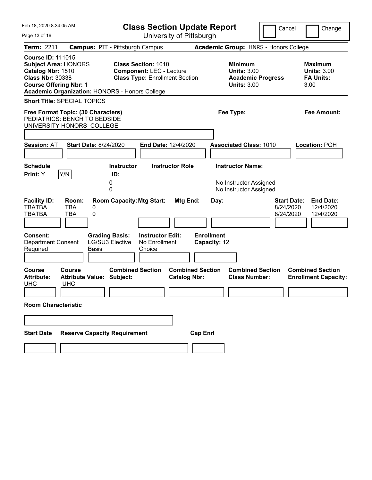| Feb 18, 2020 8:34:05 AM                                                                                                                  |                                                             | <b>Class Section Update Report</b>                                                                                                                       |                                                |                                                                                 | Cancel                                       | Change                                                           |
|------------------------------------------------------------------------------------------------------------------------------------------|-------------------------------------------------------------|----------------------------------------------------------------------------------------------------------------------------------------------------------|------------------------------------------------|---------------------------------------------------------------------------------|----------------------------------------------|------------------------------------------------------------------|
| Page 13 of 16                                                                                                                            |                                                             | University of Pittsburgh                                                                                                                                 |                                                |                                                                                 |                                              |                                                                  |
| <b>Term: 2211</b>                                                                                                                        |                                                             | <b>Campus: PIT - Pittsburgh Campus</b>                                                                                                                   |                                                | Academic Group: HNRS - Honors College                                           |                                              |                                                                  |
| <b>Course ID: 111015</b><br><b>Subject Area: HONORS</b><br>Catalog Nbr: 1510<br><b>Class Nbr: 30338</b><br><b>Course Offering Nbr: 1</b> |                                                             | Class Section: 1010<br><b>Component: LEC - Lecture</b><br><b>Class Type: Enrollment Section</b><br><b>Academic Organization: HONORS - Honors College</b> |                                                | Minimum<br><b>Units: 3.00</b><br><b>Academic Progress</b><br><b>Units: 3.00</b> |                                              | <b>Maximum</b><br><b>Units: 3.00</b><br><b>FA Units:</b><br>3.00 |
| <b>Short Title: SPECIAL TOPICS</b>                                                                                                       |                                                             |                                                                                                                                                          |                                                |                                                                                 |                                              |                                                                  |
| Free Format Topic: (30 Characters)<br>PEDIATRICS: BENCH TO BEDSIDE<br>UNIVERSITY HONORS COLLEGE                                          |                                                             |                                                                                                                                                          |                                                | Fee Type:                                                                       |                                              | Fee Amount:                                                      |
| <b>Session: AT</b>                                                                                                                       | <b>Start Date: 8/24/2020</b>                                | <b>End Date: 12/4/2020</b>                                                                                                                               |                                                | <b>Associated Class: 1010</b>                                                   |                                              | <b>Location: PGH</b>                                             |
| <b>Schedule</b><br>Print: Y<br>Y/N                                                                                                       | 0<br>0                                                      | <b>Instructor</b><br>ID:                                                                                                                                 | <b>Instructor Role</b>                         | <b>Instructor Name:</b><br>No Instructor Assigned<br>No Instructor Assigned     |                                              |                                                                  |
| <b>Facility ID:</b><br><b>TBA</b><br><b>TBATBA</b><br><b>TBATBA</b><br><b>TBA</b><br>Consent:<br><b>Department Consent</b>               | Room:<br>0<br>0<br><b>Grading Basis:</b><br>LG/SU3 Elective | <b>Room Capacity: Mtg Start:</b><br><b>Instructor Edit:</b><br>No Enrollment                                                                             | Mtg End:                                       | Day:<br><b>Enrollment</b><br>Capacity: 12                                       | <b>Start Date:</b><br>8/24/2020<br>8/24/2020 | <b>End Date:</b><br>12/4/2020<br>12/4/2020                       |
| Required                                                                                                                                 | <b>Basis</b>                                                | Choice                                                                                                                                                   |                                                |                                                                                 |                                              |                                                                  |
| Course<br>Course<br><b>Attribute:</b><br><b>UHC</b><br><b>UHC</b><br><b>Room Characteristic</b>                                          | <b>Attribute Value: Subject:</b>                            | <b>Combined Section</b>                                                                                                                                  | <b>Combined Section</b><br><b>Catalog Nbr:</b> | <b>Combined Section</b><br><b>Class Number:</b>                                 |                                              | <b>Combined Section</b><br><b>Enrollment Capacity:</b>           |
|                                                                                                                                          |                                                             |                                                                                                                                                          |                                                |                                                                                 |                                              |                                                                  |
|                                                                                                                                          |                                                             |                                                                                                                                                          |                                                |                                                                                 |                                              |                                                                  |
| <b>Reserve Capacity Requirement</b><br><b>Cap Enrl</b><br><b>Start Date</b>                                                              |                                                             |                                                                                                                                                          |                                                |                                                                                 |                                              |                                                                  |
|                                                                                                                                          |                                                             |                                                                                                                                                          |                                                |                                                                                 |                                              |                                                                  |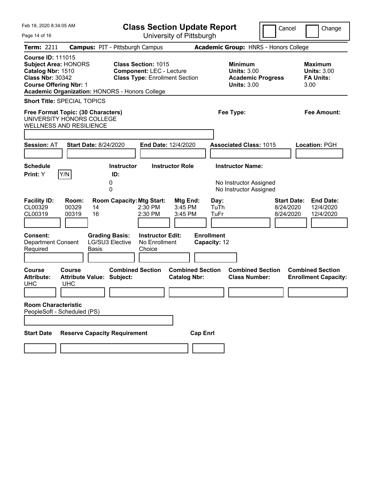| Feb 18, 2020 8:34:05 AM                                                                                                                                                                           | <b>Class Section Update Report</b>                                                                     | Cancel                                                                                 | Change                                                           |
|---------------------------------------------------------------------------------------------------------------------------------------------------------------------------------------------------|--------------------------------------------------------------------------------------------------------|----------------------------------------------------------------------------------------|------------------------------------------------------------------|
| Page 14 of 16                                                                                                                                                                                     | University of Pittsburgh                                                                               |                                                                                        |                                                                  |
| <b>Term: 2211</b><br><b>Campus: PIT - Pittsburgh Campus</b>                                                                                                                                       |                                                                                                        | Academic Group: HNRS - Honors College                                                  |                                                                  |
| <b>Course ID: 111015</b><br><b>Subject Area: HONORS</b><br>Catalog Nbr: 1510<br><b>Class Nbr: 30342</b><br><b>Course Offering Nbr: 1</b><br><b>Academic Organization: HONORS - Honors College</b> | <b>Class Section: 1015</b><br><b>Component: LEC - Lecture</b><br><b>Class Type: Enrollment Section</b> | <b>Minimum</b><br><b>Units: 3.00</b><br><b>Academic Progress</b><br><b>Units: 3.00</b> | <b>Maximum</b><br><b>Units: 3.00</b><br><b>FA Units:</b><br>3.00 |
| <b>Short Title: SPECIAL TOPICS</b>                                                                                                                                                                |                                                                                                        |                                                                                        |                                                                  |
| Free Format Topic: (30 Characters)<br>UNIVERSITY HONORS COLLEGE<br><b>WELLNESS AND RESILIENCE</b>                                                                                                 |                                                                                                        | Fee Type:                                                                              | Fee Amount:                                                      |
| <b>Start Date: 8/24/2020</b><br><b>Session: AT</b>                                                                                                                                                | <b>End Date: 12/4/2020</b>                                                                             | <b>Associated Class: 1015</b>                                                          | <b>Location: PGH</b>                                             |
|                                                                                                                                                                                                   |                                                                                                        |                                                                                        |                                                                  |
| <b>Schedule</b>                                                                                                                                                                                   | <b>Instructor Role</b><br>Instructor                                                                   | <b>Instructor Name:</b>                                                                |                                                                  |
| Y/N<br>Print: Y<br>ID:<br>0<br>0                                                                                                                                                                  |                                                                                                        | No Instructor Assigned<br>No Instructor Assigned                                       |                                                                  |
| <b>Facility ID:</b><br>Room:<br>CL00329<br>00329<br>14<br>CL00319<br>00319<br>16                                                                                                                  | <b>Room Capacity: Mtg Start:</b><br>Mtg End:<br>3:45 PM<br>$2:30$ PM<br>2:30 PM<br>3:45 PM             | Day:<br><b>Start Date:</b><br>TuTh<br>8/24/2020<br>TuFr<br>8/24/2020                   | <b>End Date:</b><br>12/4/2020<br>12/4/2020                       |
| Consent:<br><b>Grading Basis:</b><br><b>LG/SU3 Elective</b><br><b>Department Consent</b><br>Required<br><b>Basis</b>                                                                              | <b>Instructor Edit:</b><br>No Enrollment<br>Choice                                                     | <b>Enrollment</b><br>Capacity: 12                                                      |                                                                  |
| Course<br>Course<br><b>Attribute:</b><br><b>Attribute Value: Subject:</b><br><b>UHC</b><br><b>UHC</b>                                                                                             | <b>Combined Section</b><br><b>Combined Section</b><br><b>Catalog Nbr:</b>                              | <b>Combined Section</b><br><b>Class Number:</b>                                        | <b>Combined Section</b><br><b>Enrollment Capacity:</b>           |
| <b>Room Characteristic</b><br>PeopleSoft - Scheduled (PS)                                                                                                                                         |                                                                                                        |                                                                                        |                                                                  |
| <b>Reserve Capacity Requirement</b><br><b>Start Date</b>                                                                                                                                          | <b>Cap Enrl</b>                                                                                        |                                                                                        |                                                                  |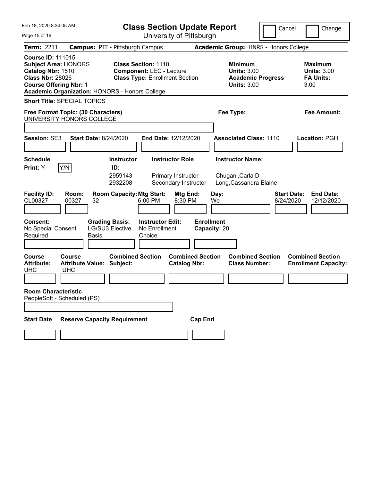| Feb 18, 2020 8:34:05 AM<br>Page 15 of 16                                                                                                                                                          |                                                             | <b>Class Section Update Report</b><br>University of Pittsburgh                                         |                                   |                                                                                        | Cancel                          | Change                                                           |
|---------------------------------------------------------------------------------------------------------------------------------------------------------------------------------------------------|-------------------------------------------------------------|--------------------------------------------------------------------------------------------------------|-----------------------------------|----------------------------------------------------------------------------------------|---------------------------------|------------------------------------------------------------------|
| <b>Term: 2211</b>                                                                                                                                                                                 | <b>Campus: PIT - Pittsburgh Campus</b>                      |                                                                                                        |                                   | Academic Group: HNRS - Honors College                                                  |                                 |                                                                  |
| <b>Course ID: 111015</b><br><b>Subject Area: HONORS</b><br>Catalog Nbr: 1510<br><b>Class Nbr: 28026</b><br><b>Course Offering Nbr: 1</b><br><b>Academic Organization: HONORS - Honors College</b> |                                                             | <b>Class Section: 1110</b><br><b>Component: LEC - Lecture</b><br><b>Class Type: Enrollment Section</b> |                                   | <b>Minimum</b><br><b>Units: 3.00</b><br><b>Academic Progress</b><br><b>Units: 3.00</b> |                                 | <b>Maximum</b><br><b>Units: 3.00</b><br><b>FA Units:</b><br>3.00 |
| <b>Short Title: SPECIAL TOPICS</b>                                                                                                                                                                |                                                             |                                                                                                        |                                   |                                                                                        |                                 |                                                                  |
| Free Format Topic: (30 Characters)<br>UNIVERSITY HONORS COLLEGE                                                                                                                                   |                                                             |                                                                                                        |                                   | Fee Type:                                                                              |                                 | Fee Amount:                                                      |
| <b>Session: SE3</b>                                                                                                                                                                               | <b>Start Date: 8/24/2020</b>                                | End Date: 12/12/2020                                                                                   |                                   | <b>Associated Class: 1110</b>                                                          |                                 | Location: PGH                                                    |
| <b>Schedule</b><br>Y/N<br>Print: Y                                                                                                                                                                | <b>Instructor</b><br>ID:<br>2959143<br>2932208              | <b>Instructor Role</b><br>Primary Instructor<br>Secondary Instructor                                   |                                   | <b>Instructor Name:</b><br>Chugani, Carla D<br>Long, Cassandra Elaine                  |                                 |                                                                  |
| <b>Facility ID:</b><br>Room:<br>CL00327<br>00327                                                                                                                                                  | <b>Room Capacity: Mtg Start:</b><br>32                      | Mtg End:<br>8:30 PM<br>6:00 PM                                                                         | Day:<br>We                        |                                                                                        | <b>Start Date:</b><br>8/24/2020 | <b>End Date:</b><br>12/12/2020                                   |
| <b>Consent:</b><br>No Special Consent<br>Required                                                                                                                                                 | <b>Grading Basis:</b><br><b>LG/SU3 Elective</b><br>Basis    | <b>Instructor Edit:</b><br>No Enrollment<br>Choice                                                     | <b>Enrollment</b><br>Capacity: 20 |                                                                                        |                                 |                                                                  |
| <b>Course</b><br><b>Course</b><br><b>Attribute:</b><br><b>UHC</b><br><b>UHC</b>                                                                                                                   | <b>Combined Section</b><br><b>Attribute Value: Subject:</b> | <b>Catalog Nbr:</b>                                                                                    | <b>Combined Section</b>           | <b>Combined Section</b><br><b>Class Number:</b>                                        |                                 | <b>Combined Section</b><br><b>Enrollment Capacity:</b>           |
| <b>Room Characteristic</b><br>PeopleSoft - Scheduled (PS)                                                                                                                                         |                                                             |                                                                                                        |                                   |                                                                                        |                                 |                                                                  |
| <b>Start Date</b>                                                                                                                                                                                 | <b>Reserve Capacity Requirement</b>                         |                                                                                                        | <b>Cap Enrl</b>                   |                                                                                        |                                 |                                                                  |
|                                                                                                                                                                                                   |                                                             |                                                                                                        |                                   |                                                                                        |                                 |                                                                  |